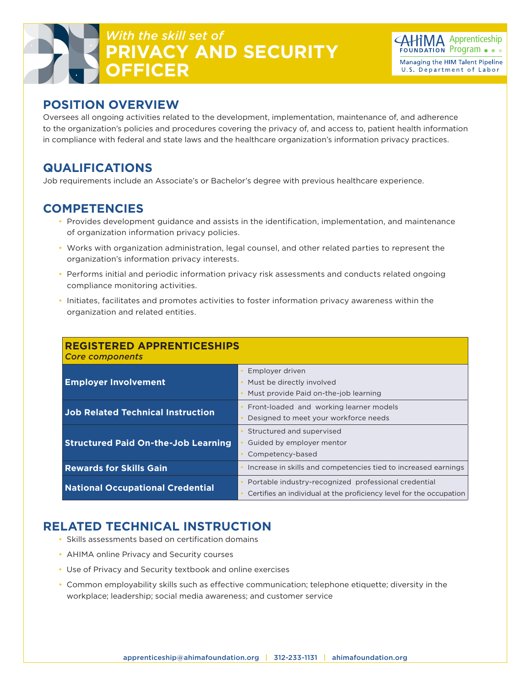# *With the skill set of* **PRIVACY AND SECURITY OFFICER**



#### **POSITION OVERVIEW**

Oversees all ongoing activities related to the development, implementation, maintenance of, and adherence to the organization's policies and procedures covering the privacy of, and access to, patient health information in compliance with federal and state laws and the healthcare organization's information privacy practices.

### **QUALIFICATIONS**

Job requirements include an Associate's or Bachelor's degree with previous healthcare experience.

### **COMPETENCIES**

- Provides development guidance and assists in the identification, implementation, and maintenance of organization information privacy policies.
- Works with organization administration, legal counsel, and other related parties to represent the organization's information privacy interests.
- Performs initial and periodic information privacy risk assessments and conducts related ongoing compliance monitoring activities.
- Initiates, facilitates and promotes activities to foster information privacy awareness within the organization and related entities.

| <b>REGISTERED APPRENTICESHIPS</b><br><b>Core components</b> |                                                                                                                             |
|-------------------------------------------------------------|-----------------------------------------------------------------------------------------------------------------------------|
| <b>Employer Involvement</b>                                 | Employer driven<br>Must be directly involved<br>Must provide Paid on-the-job learning                                       |
| <b>Job Related Technical Instruction</b>                    | Front-loaded and working learner models<br>Designed to meet your workforce needs                                            |
| <b>Structured Paid On-the-Job Learning</b>                  | Structured and supervised<br>Guided by employer mentor<br>Competency-based                                                  |
| <b>Rewards for Skills Gain</b>                              | Increase in skills and competencies tied to increased earnings                                                              |
| <b>National Occupational Credential</b>                     | Portable industry-recognized professional credential<br>Certifies an individual at the proficiency level for the occupation |

## **RELATED TECHNICAL INSTRUCTION**

- Skills assessments based on certification domains
- AHIMA online Privacy and Security courses
- Use of Privacy and Security textbook and online exercises
- Common employability skills such as effective communication; telephone etiquette; diversity in the workplace; leadership; social media awareness; and customer service